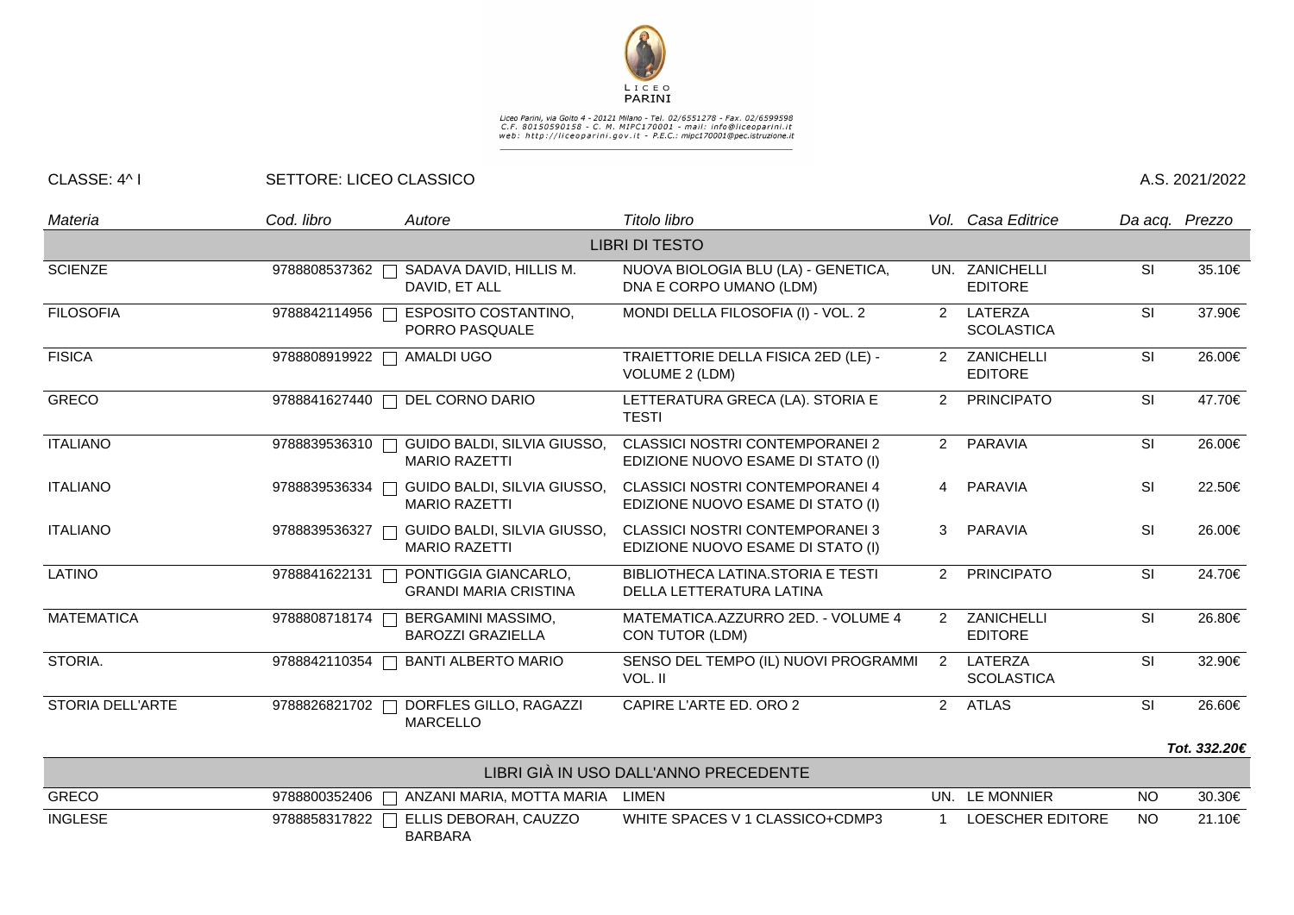

## Liceo Parini, via Goito 4 - 20121 Milano - Tel. 02/6551278 - Fax. 02/6599598<br>C.F. 80150590158 - C. M. MIPC170001 - mail: info@liceoparini.it<br>web: http://liceoparini.gov.it - P.E.C.: mipc170001@pec.istruzione.it

## CLASSE: 4^ I SETTORE: LICEO CLASSICO A.S. 2021/2022

| Materia               | Cod. libro      | Autore                                                                    | Titolo libro                                                                |                | Vol. Casa Editrice               | Da acq. Prezzo |              |
|-----------------------|-----------------|---------------------------------------------------------------------------|-----------------------------------------------------------------------------|----------------|----------------------------------|----------------|--------------|
| <b>LIBRI DI TESTO</b> |                 |                                                                           |                                                                             |                |                                  |                |              |
| <b>SCIENZE</b>        | 9788808537362   | SADAVA DAVID, HILLIS M.<br>DAVID, ET ALL                                  | NUOVA BIOLOGIA BLU (LA) - GENETICA,<br>DNA E CORPO UMANO (LDM)              |                | UN. ZANICHELLI<br><b>EDITORE</b> | <b>SI</b>      | 35.10€       |
| <b>FILOSOFIA</b>      | 9788842114956   | <b>ESPOSITO COSTANTINO,</b><br>$\overline{\phantom{0}}$<br>PORRO PASQUALE | MONDI DELLA FILOSOFIA (I) - VOL. 2                                          | 2              | LATERZA<br><b>SCOLASTICA</b>     | <b>SI</b>      | 37.90€       |
| <b>FISICA</b>         | 9788808919922   | AMALDI UGO<br>┑                                                           | TRAIETTORIE DELLA FISICA 2ED (LE) -<br>VOLUME 2 (LDM)                       | $\mathcal{P}$  | ZANICHELLI<br><b>EDITORE</b>     | <b>SI</b>      | 26.00€       |
| <b>GRECO</b>          | 9788841627440   | DEL CORNO DARIO                                                           | LETTERATURA GRECA (LA). STORIA E<br><b>TESTI</b>                            | 2              | <b>PRINCIPATO</b>                | SI             | 47.70€       |
| <b>ITALIANO</b>       | 9788839536310   | GUIDO BALDI, SILVIA GIUSSO,<br>Ξ<br><b>MARIO RAZETTI</b>                  | <b>CLASSICI NOSTRI CONTEMPORANEI 2</b><br>EDIZIONE NUOVO ESAME DI STATO (I) | 2              | PARAVIA                          | SI             | 26.00€       |
| <b>ITALIANO</b>       | 9788839536334   | GUIDO BALDI, SILVIA GIUSSO,<br><b>MARIO RAZETTI</b>                       | <b>CLASSICI NOSTRI CONTEMPORANEI 4</b><br>EDIZIONE NUOVO ESAME DI STATO (I) | $\overline{4}$ | <b>PARAVIA</b>                   | <b>SI</b>      | 22.50€       |
| <b>ITALIANO</b>       | 9788839536327   | GUIDO BALDI, SILVIA GIUSSO,<br><b>MARIO RAZETTI</b>                       | <b>CLASSICI NOSTRI CONTEMPORANEI 3</b><br>EDIZIONE NUOVO ESAME DI STATO (I) | 3              | <b>PARAVIA</b>                   | SI             | 26.00€       |
| <b>LATINO</b>         | 9788841622131   | PONTIGGIA GIANCARLO,<br><b>GRANDI MARIA CRISTINA</b>                      | BIBLIOTHECA LATINA.STORIA E TESTI<br>DELLA LETTERATURA LATINA               | $\mathcal{P}$  | <b>PRINCIPATO</b>                | SI             | 24.70€       |
| <b>MATEMATICA</b>     | 9788808718174 [ | <b>BERGAMINI MASSIMO,</b><br>$\mathcal{L}$<br><b>BAROZZI GRAZIELLA</b>    | MATEMATICA.AZZURRO 2ED. - VOLUME 4<br>CON TUTOR (LDM)                       | $\mathcal{P}$  | ZANICHELLI<br><b>EDITORE</b>     | <b>SI</b>      | 26.80€       |
| STORIA.               | 9788842110354   | <b>BANTI ALBERTO MARIO</b><br>Τ                                           | SENSO DEL TEMPO (IL) NUOVI PROGRAMMI<br>VOL. II                             | $\overline{2}$ | LATERZA<br><b>SCOLASTICA</b>     | <b>SI</b>      | 32.90€       |
| STORIA DELL'ARTE      | 9788826821702   | DORFLES GILLO, RAGAZZI<br><b>MARCELLO</b>                                 | CAPIRE L'ARTE ED. ORO 2                                                     | $\overline{2}$ | <b>ATLAS</b>                     | SI             | 26.60€       |
|                       |                 |                                                                           |                                                                             |                |                                  |                | Tot. 332.20€ |
|                       |                 |                                                                           | $1.1551.21$ $0.1.1102.5$ $0.11111110.5$ $0.55525551.75$                     |                |                                  |                |              |

| LIBRI GIA IN USO DALL'ANNO PRECEDENTE |                                                 |                                 |  |                  |      |        |  |
|---------------------------------------|-------------------------------------------------|---------------------------------|--|------------------|------|--------|--|
| <b>GRECO</b>                          | 9788800352406   ANZANI MARIA, MOTTA MARIA LIMEN |                                 |  | UN. LE MONNIER   | NC.  | 30.30€ |  |
| <b>INGLESE</b>                        | 9788858317822 $\Box$ ELLIS DEBORAH, CAUZZO      | WHITE SPACES V 1 CLASSICO+CDMP3 |  | LOESCHER EDITORE | - NO | 21.10€ |  |
|                                       | <b>BARBARA</b>                                  |                                 |  |                  |      |        |  |